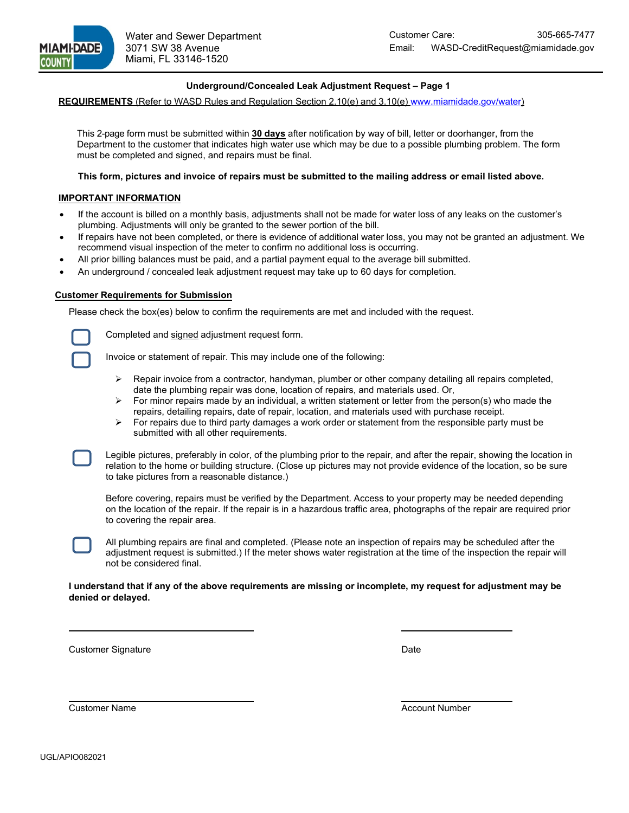

### **Underground/Concealed Leak Adjustment Request – Page 1**

# **REQUIREMENTS** (Refer to WASD Rules and Regulation Section 2.10(e) and 3.10(e[\) www.miamidade.gov/water\)](http://www.miamidade.gov/water)

This 2-page form must be submitted within **30 days** after notification by way of bill, letter or doorhanger, from the Department to the customer that indicates high water use which may be due to a possible plumbing problem. The form must be completed and signed, and repairs must be final.

#### **This form, pictures and invoice of repairs must be submitted to the mailing address or email listed above.**

#### **IMPORTANT INFORMATION**

- If the account is billed on a monthly basis, adjustments shall not be made for water loss of any leaks on the customer's plumbing. Adjustments will only be granted to the sewer portion of the bill.
- If repairs have not been completed, or there is evidence of additional water loss, you may not be granted an adjustment. We recommend visual inspection of the meter to confirm no additional loss is occurring.
- All prior billing balances must be paid, and a partial payment equal to the average bill submitted.
- An underground / concealed leak adjustment request may take up to 60 days for completion.

## **Customer Requirements for Submission**

Please check the box(es) below to confirm the requirements are met and included with the request.

Completed and signed adjustment request form.

Invoice or statement of repair. This may include one of the following:

- $\triangleright$  Repair invoice from a contractor, handyman, plumber or other company detailing all repairs completed, date the plumbing repair was done, location of repairs, and materials used. Or,
- $\triangleright$  For minor repairs made by an individual, a written statement or letter from the person(s) who made the repairs, detailing repairs, date of repair, location, and materials used with purchase receipt.
- $\triangleright$  For repairs due to third party damages a work order or statement from the responsible party must be submitted with all other requirements.

Legible pictures, preferably in color, of the plumbing prior to the repair, and after the repair, showing the location in relation to the home or building structure. (Close up pictures may not provide evidence of the location, so be sure to take pictures from a reasonable distance.)

Before covering, repairs must be verified by the Department. Access to your property may be needed depending on the location of the repair. If the repair is in a hazardous traffic area, photographs of the repair are required prior to covering the repair area.



All plumbing repairs are final and completed. (Please note an inspection of repairs may be scheduled after the adjustment request is submitted.) If the meter shows water registration at the time of the inspection the repair will not be considered final.

#### **I understand that if any of the above requirements are missing or incomplete, my request for adjustment may be denied or delayed.**

Customer Signature **Date** Date **Date** Date **Date** 

**Customer Name** Account Number Account Number Account Number Account Number